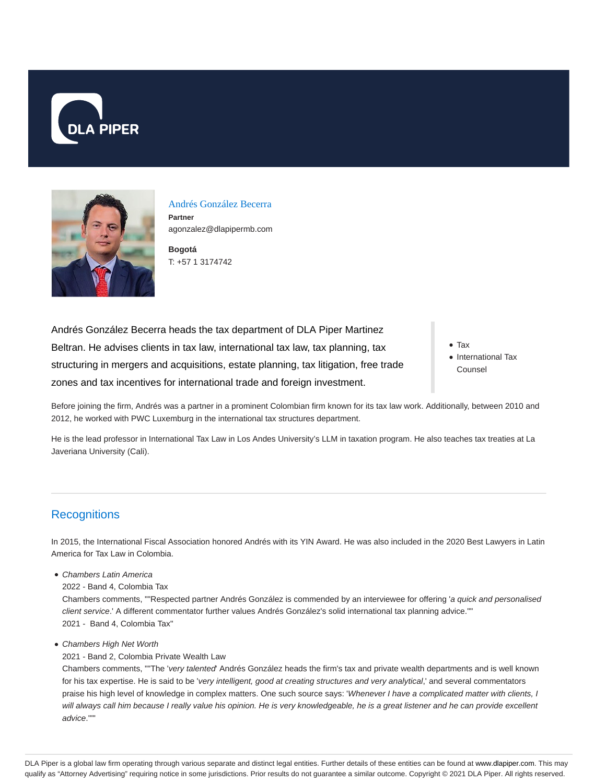



Andrés González Becerra **Partner** agonzalez@dlapipermb.com

**Bogotá** T: +57 1 3174742

Andrés González Becerra heads the tax department of DLA Piper Martinez Beltran. He advises clients in tax law, international tax law, tax planning, tax structuring in mergers and acquisitions, estate planning, tax litigation, free trade zones and tax incentives for international trade and foreign investment.

Tax • International Tax Counsel

Before joining the firm, Andrés was a partner in a prominent Colombian firm known for its tax law work. Additionally, between 2010 and 2012, he worked with PWC Luxemburg in the international tax structures department.

He is the lead professor in International Tax Law in Los Andes University's LLM in taxation program. He also teaches tax treaties at La Javeriana University (Cali).

# **Recognitions**

In 2015, the International Fiscal Association honored Andrés with its YIN Award. He was also included in the 2020 Best Lawyers in Latin America for Tax Law in Colombia.

- Chambers Latin America
- 2022 Band 4, Colombia Tax

Chambers comments, ""Respected partner Andrés González is commended by an interviewee for offering 'a quick and personalised client service.' A different commentator further values Andrés González's solid international tax planning advice."" 2021 - Band 4, Colombia Tax"

- Chambers High Net Worth
	- 2021 Band 2, Colombia Private Wealth Law

Chambers comments, ""The 'very talented' Andrés González heads the firm's tax and private wealth departments and is well known for his tax expertise. He is said to be 'very intelligent, good at creating structures and very analytical,' and several commentators praise his high level of knowledge in complex matters. One such source says: 'Whenever I have a complicated matter with clients, I will always call him because I really value his opinion. He is very knowledgeable, he is a great listener and he can provide excellent advice.'""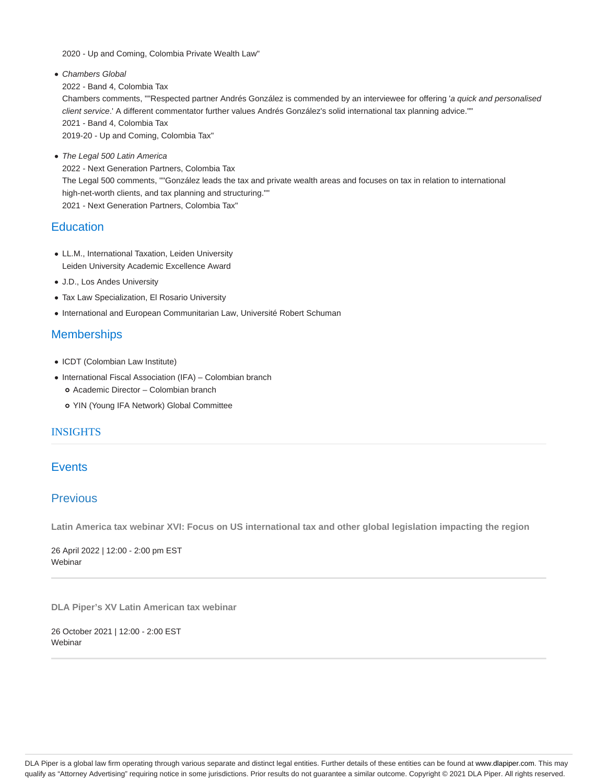2020 - Up and Coming, Colombia Private Wealth Law"

- Chambers Global 2022 - Band 4, Colombia Tax Chambers comments, ""Respected partner Andrés González is commended by an interviewee for offering 'a quick and personalised client service.' A different commentator further values Andrés González's solid international tax planning advice."" 2021 - Band 4, Colombia Tax 2019-20 - Up and Coming, Colombia Tax"
- The Legal 500 Latin America 2022 - Next Generation Partners, Colombia Tax The Legal 500 comments, ""González leads the tax and private wealth areas and focuses on tax in relation to international high-net-worth clients, and tax planning and structuring."" 2021 - Next Generation Partners, Colombia Tax"

## **Education**

- LL.M., International Taxation, Leiden University Leiden University Academic Excellence Award
- J.D., Los Andes University
- Tax Law Specialization, El Rosario University
- International and European Communitarian Law, Université Robert Schuman

# **Memberships**

- ICDT (Colombian Law Institute)
- International Fiscal Association (IFA) Colombian branch
	- Academic Director Colombian branch
	- YIN (Young IFA Network) Global Committee

## **INSIGHTS**

# **Events**

# Previous

**Latin America tax webinar XVI: Focus on US international tax and other global legislation impacting the region**

26 April 2022 | 12:00 - 2:00 pm EST **Webinar** 

**DLA Piper's XV Latin American tax webinar**

26 October 2021 | 12:00 - 2:00 EST Webinar

DLA Piper is a global law firm operating through various separate and distinct legal entities. Further details of these entities can be found at www.dlapiper.com. This may qualify as "Attorney Advertising" requiring notice in some jurisdictions. Prior results do not guarantee a similar outcome. Copyright © 2021 DLA Piper. All rights reserved.